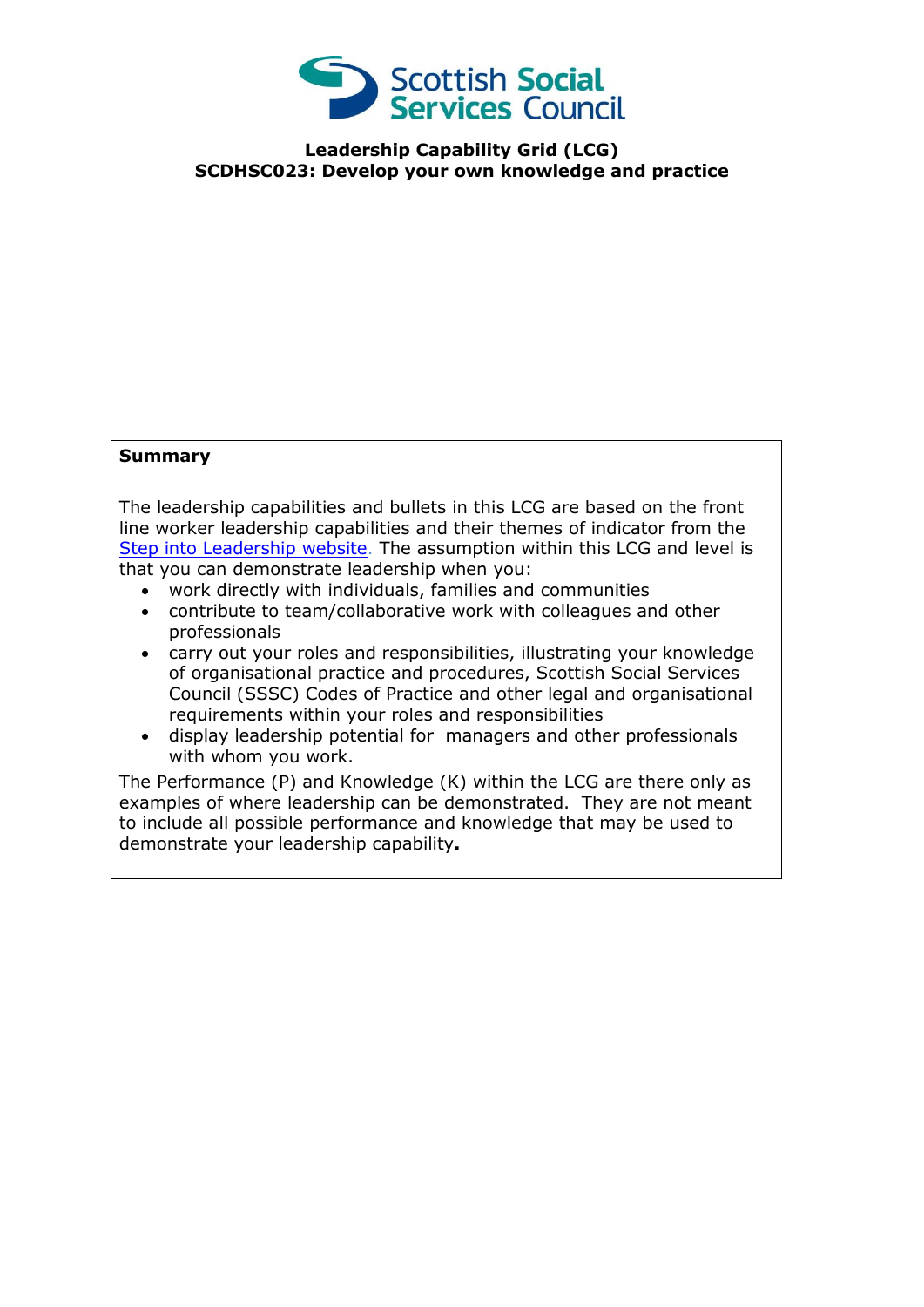

**Leadership Capability Grid (LCG) SCDHSC023: Develop your own knowledge and practice**

## **Summary**

The leadership capabilities and bullets in this LCG are based on the front line worker leadership capabilities and their themes of indicator from the [Step into Leadership website.](http://www.stepintoleadership.info/) The assumption within this LCG and level is that you can demonstrate leadership when you:

- work directly with individuals, families and communities
- contribute to team/collaborative work with colleagues and other professionals
- carry out your roles and responsibilities, illustrating your knowledge of organisational practice and procedures, Scottish Social Services Council (SSSC) Codes of Practice and other legal and organisational requirements within your roles and responsibilities
- display leadership potential for managers and other professionals with whom you work.

The Performance (P) and Knowledge (K) within the LCG are there only as examples of where leadership can be demonstrated. They are not meant to include all possible performance and knowledge that may be used to demonstrate your leadership capability**.**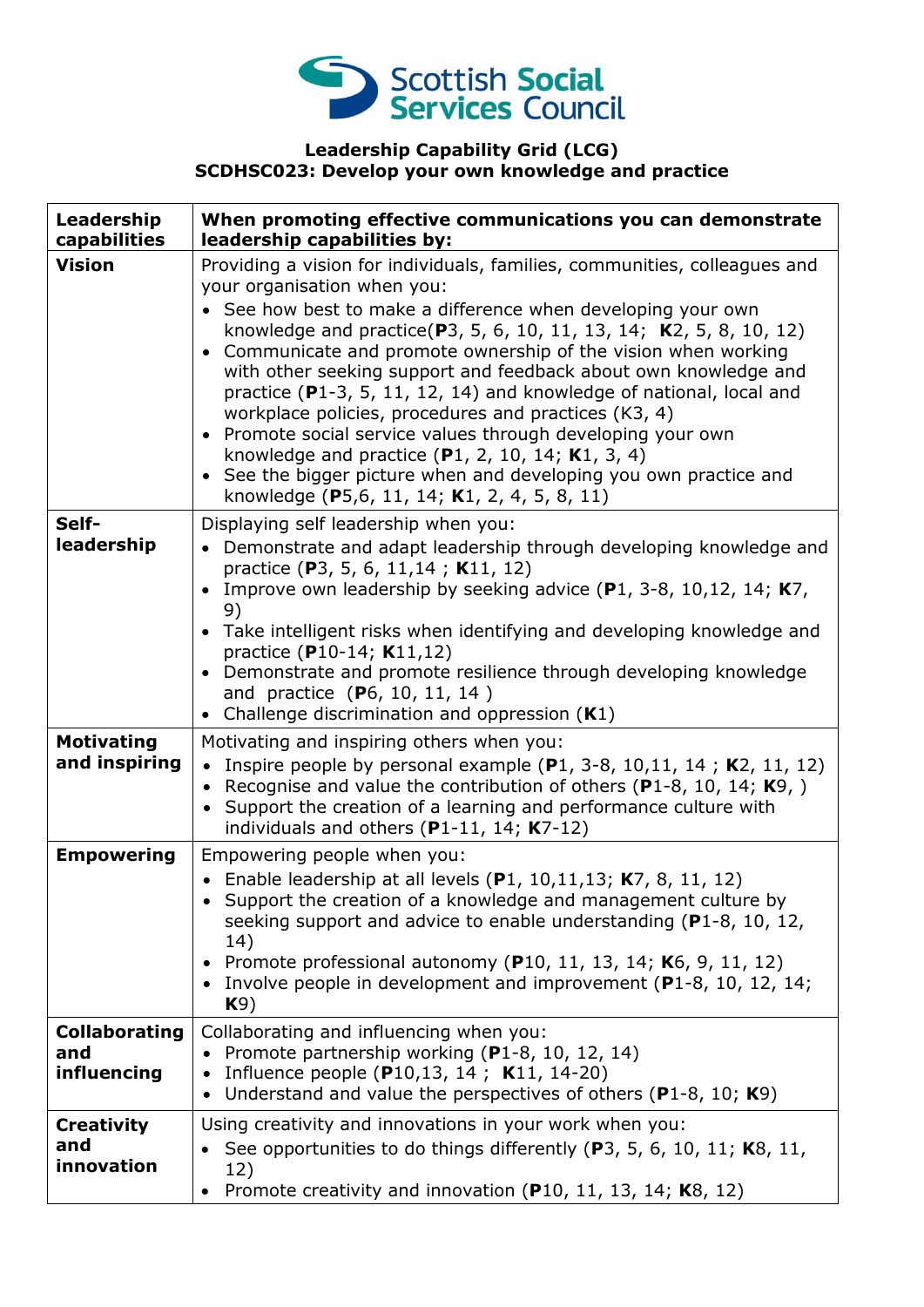

## **Leadership Capability Grid (LCG) SCDHSC023: Develop your own knowledge and practice**

| Leadership<br>capabilities                 | When promoting effective communications you can demonstrate<br>leadership capabilities by:                                                                                                                                                                                                                                                                                                                                                                                                                                                                                                                                                                                                                                                                                |
|--------------------------------------------|---------------------------------------------------------------------------------------------------------------------------------------------------------------------------------------------------------------------------------------------------------------------------------------------------------------------------------------------------------------------------------------------------------------------------------------------------------------------------------------------------------------------------------------------------------------------------------------------------------------------------------------------------------------------------------------------------------------------------------------------------------------------------|
| <b>Vision</b>                              | Providing a vision for individuals, families, communities, colleagues and<br>your organisation when you:<br>See how best to make a difference when developing your own<br>knowledge and practice(P3, 5, 6, 10, 11, 13, 14; K2, 5, 8, 10, 12)<br>Communicate and promote ownership of the vision when working<br>$\bullet$<br>with other seeking support and feedback about own knowledge and<br>practice ( $P1-3$ , 5, 11, 12, 14) and knowledge of national, local and<br>workplace policies, procedures and practices (K3, 4)<br>• Promote social service values through developing your own<br>knowledge and practice $(P1, 2, 10, 14; K1, 3, 4)$<br>• See the bigger picture when and developing you own practice and<br>knowledge (P5,6, 11, 14; K1, 2, 4, 5, 8, 11) |
| Self-<br>leadership                        | Displaying self leadership when you:<br>Demonstrate and adapt leadership through developing knowledge and<br>practice (P3, 5, 6, 11, 14; K11, 12)<br>Improve own leadership by seeking advice (P1, 3-8, 10,12, 14; K7,<br>9)<br>• Take intelligent risks when identifying and developing knowledge and<br>practice (P10-14; K11,12)<br>• Demonstrate and promote resilience through developing knowledge<br>and practice (P6, 10, 11, 14)<br>• Challenge discrimination and oppression $(K1)$                                                                                                                                                                                                                                                                             |
| <b>Motivating</b><br>and inspiring         | Motivating and inspiring others when you:<br>Inspire people by personal example $(P1, 3-8, 10, 11, 14$ ; K2, 11, 12)<br>Recognise and value the contribution of others ( $P1-8$ , 10, 14; $K9$ , )<br>$\bullet$<br>Support the creation of a learning and performance culture with<br>individuals and others $(P1-11, 14; K7-12)$                                                                                                                                                                                                                                                                                                                                                                                                                                         |
| <b>Empowering</b>                          | Empowering people when you:<br>• Enable leadership at all levels $(P1, 10, 11, 13; K7, 8, 11, 12)$<br>Support the creation of a knowledge and management culture by<br>seeking support and advice to enable understanding $(P1-8, 10, 12,$<br>14)<br>• Promote professional autonomy (P10, 11, 13, 14; K6, 9, 11, 12)<br>• Involve people in development and improvement ( $P1-8$ , 10, 12, 14;<br>K9)                                                                                                                                                                                                                                                                                                                                                                    |
| <b>Collaborating</b><br>and<br>influencing | Collaborating and influencing when you:<br>Promote partnership working (P1-8, 10, 12, 14)<br>Influence people (P10,13, 14; K11, 14-20)<br>Understand and value the perspectives of others ( $P1-8$ , 10; $K9$ )<br>$\bullet$                                                                                                                                                                                                                                                                                                                                                                                                                                                                                                                                              |
| <b>Creativity</b><br>and<br>innovation     | Using creativity and innovations in your work when you:<br>• See opportunities to do things differently (P3, 5, 6, 10, 11; K8, 11,<br>12)<br>Promote creativity and innovation (P10, 11, 13, 14; K8, 12)                                                                                                                                                                                                                                                                                                                                                                                                                                                                                                                                                                  |